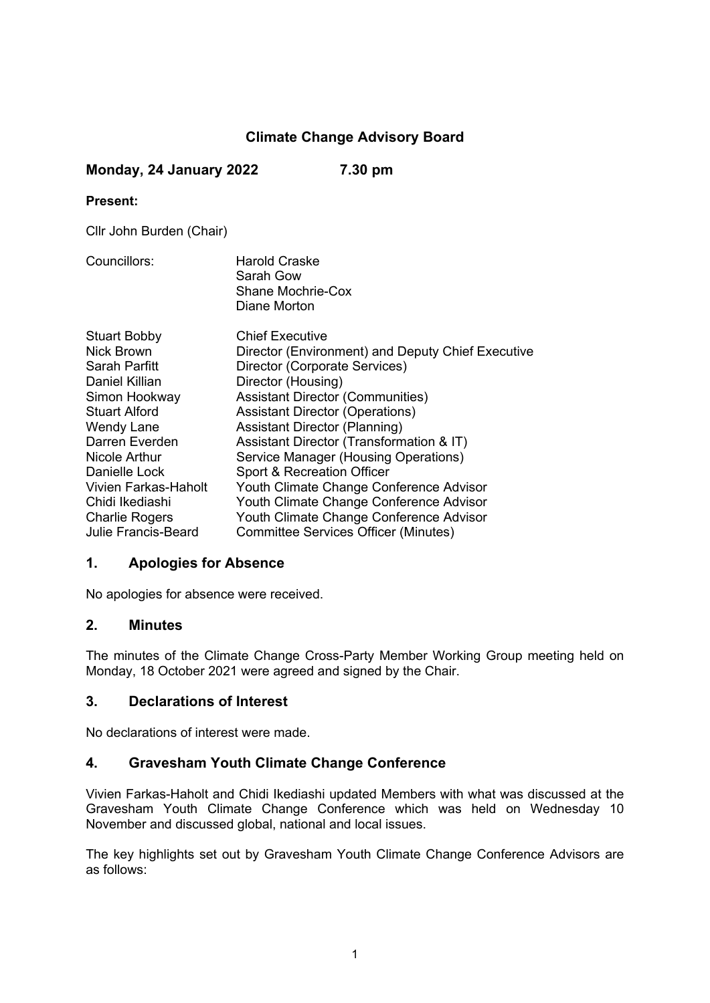# **Climate Change Advisory Board**

# **Monday, 24 January 2022 7.30 pm**

#### **Present:**

Cllr John Burden (Chair)

Councillors: Harold Craske Sarah Gow Shane Mochrie-Cox Diane Morton

| <b>Stuart Bobby</b>        | <b>Chief Executive</b>                            |
|----------------------------|---------------------------------------------------|
| Nick Brown                 |                                                   |
|                            | Director (Environment) and Deputy Chief Executive |
| Sarah Parfitt              | Director (Corporate Services)                     |
| Daniel Killian             | Director (Housing)                                |
| Simon Hookway              | <b>Assistant Director (Communities)</b>           |
| <b>Stuart Alford</b>       | <b>Assistant Director (Operations)</b>            |
| <b>Wendy Lane</b>          | <b>Assistant Director (Planning)</b>              |
| Darren Everden             | Assistant Director (Transformation & IT)          |
| Nicole Arthur              | Service Manager (Housing Operations)              |
| Danielle Lock              | Sport & Recreation Officer                        |
| Vivien Farkas-Haholt       | Youth Climate Change Conference Advisor           |
| Chidi Ikediashi            | Youth Climate Change Conference Advisor           |
| <b>Charlie Rogers</b>      | Youth Climate Change Conference Advisor           |
| <b>Julie Francis-Beard</b> | <b>Committee Services Officer (Minutes)</b>       |

# **1. Apologies for Absence**

No apologies for absence were received.

# **2. Minutes**

The minutes of the Climate Change Cross-Party Member Working Group meeting held on Monday, 18 October 2021 were agreed and signed by the Chair.

# **3. Declarations of Interest**

No declarations of interest were made.

# **4. Gravesham Youth Climate Change Conference**

Vivien Farkas-Haholt and Chidi Ikediashi updated Members with what was discussed at the Gravesham Youth Climate Change Conference which was held on Wednesday 10 November and discussed global, national and local issues.

The key highlights set out by Gravesham Youth Climate Change Conference Advisors are as follows: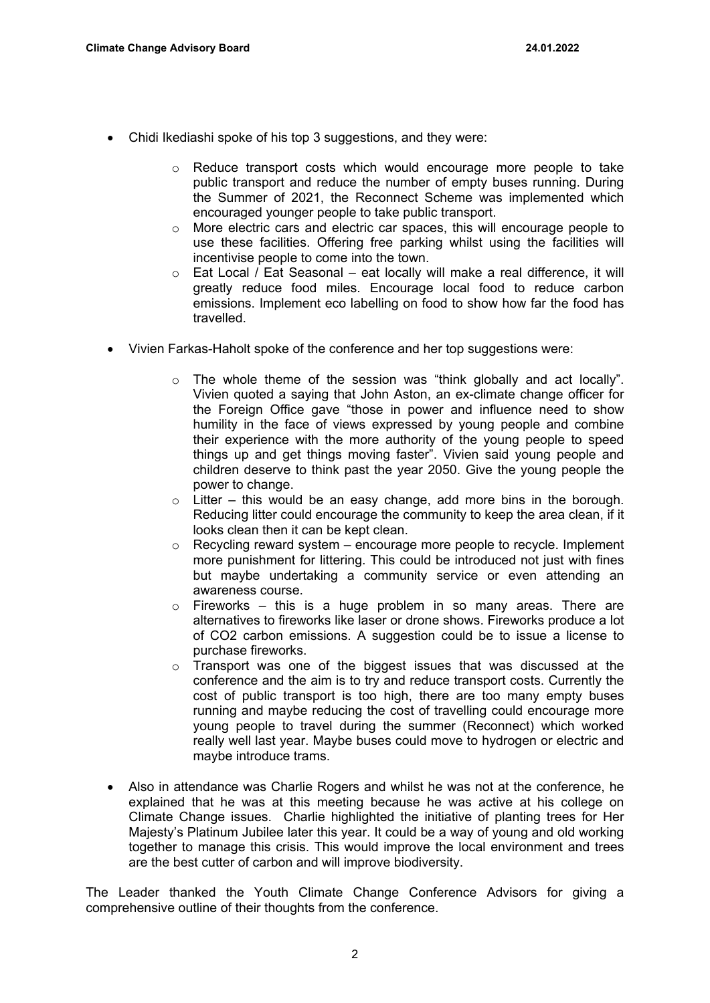- Chidi Ikediashi spoke of his top 3 suggestions, and they were:
	- o Reduce transport costs which would encourage more people to take public transport and reduce the number of empty buses running. During the Summer of 2021, the Reconnect Scheme was implemented which encouraged younger people to take public transport.
	- o More electric cars and electric car spaces, this will encourage people to use these facilities. Offering free parking whilst using the facilities will incentivise people to come into the town.
	- o Eat Local / Eat Seasonal eat locally will make a real difference, it will greatly reduce food miles. Encourage local food to reduce carbon emissions. Implement eco labelling on food to show how far the food has travelled.
- Vivien Farkas-Haholt spoke of the conference and her top suggestions were:
	- o The whole theme of the session was "think globally and act locally". Vivien quoted a saying that John Aston, an ex-climate change officer for the Foreign Office gave "those in power and influence need to show humility in the face of views expressed by young people and combine their experience with the more authority of the young people to speed things up and get things moving faster". Vivien said young people and children deserve to think past the year 2050. Give the young people the power to change.
	- $\circ$  Litter this would be an easy change, add more bins in the borough. Reducing litter could encourage the community to keep the area clean, if it looks clean then it can be kept clean.
	- $\circ$  Recycling reward system encourage more people to recycle. Implement more punishment for littering. This could be introduced not just with fines but maybe undertaking a community service or even attending an awareness course.
	- $\circ$  Fireworks this is a huge problem in so many areas. There are alternatives to fireworks like laser or drone shows. Fireworks produce a lot of CO2 carbon emissions. A suggestion could be to issue a license to purchase fireworks.
	- $\circ$  Transport was one of the biggest issues that was discussed at the conference and the aim is to try and reduce transport costs. Currently the cost of public transport is too high, there are too many empty buses running and maybe reducing the cost of travelling could encourage more young people to travel during the summer (Reconnect) which worked really well last year. Maybe buses could move to hydrogen or electric and maybe introduce trams.
- Also in attendance was Charlie Rogers and whilst he was not at the conference, he explained that he was at this meeting because he was active at his college on Climate Change issues. Charlie highlighted the initiative of planting trees for Her Majesty's Platinum Jubilee later this year. It could be a way of young and old working together to manage this crisis. This would improve the local environment and trees are the best cutter of carbon and will improve biodiversity.

The Leader thanked the Youth Climate Change Conference Advisors for giving a comprehensive outline of their thoughts from the conference.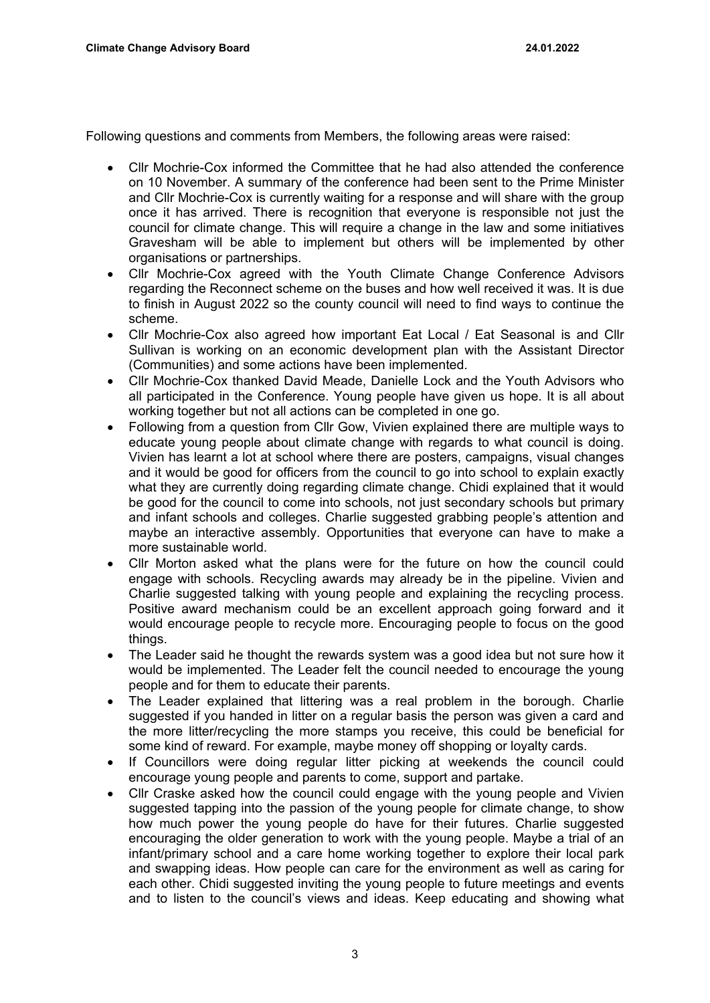Following questions and comments from Members, the following areas were raised:

- Cllr Mochrie-Cox informed the Committee that he had also attended the conference on 10 November. A summary of the conference had been sent to the Prime Minister and Cllr Mochrie-Cox is currently waiting for a response and will share with the group once it has arrived. There is recognition that everyone is responsible not just the council for climate change. This will require a change in the law and some initiatives Gravesham will be able to implement but others will be implemented by other organisations or partnerships.
- Cllr Mochrie-Cox agreed with the Youth Climate Change Conference Advisors regarding the Reconnect scheme on the buses and how well received it was. It is due to finish in August 2022 so the county council will need to find ways to continue the scheme.
- Cllr Mochrie-Cox also agreed how important Eat Local / Eat Seasonal is and Cllr Sullivan is working on an economic development plan with the Assistant Director (Communities) and some actions have been implemented.
- Cllr Mochrie-Cox thanked David Meade, Danielle Lock and the Youth Advisors who all participated in the Conference. Young people have given us hope. It is all about working together but not all actions can be completed in one go.
- Following from a question from Cllr Gow, Vivien explained there are multiple ways to educate young people about climate change with regards to what council is doing. Vivien has learnt a lot at school where there are posters, campaigns, visual changes and it would be good for officers from the council to go into school to explain exactly what they are currently doing regarding climate change. Chidi explained that it would be good for the council to come into schools, not just secondary schools but primary and infant schools and colleges. Charlie suggested grabbing people's attention and maybe an interactive assembly. Opportunities that everyone can have to make a more sustainable world.
- Cllr Morton asked what the plans were for the future on how the council could engage with schools. Recycling awards may already be in the pipeline. Vivien and Charlie suggested talking with young people and explaining the recycling process. Positive award mechanism could be an excellent approach going forward and it would encourage people to recycle more. Encouraging people to focus on the good things.
- The Leader said he thought the rewards system was a good idea but not sure how it would be implemented. The Leader felt the council needed to encourage the young people and for them to educate their parents.
- The Leader explained that littering was a real problem in the borough. Charlie suggested if you handed in litter on a regular basis the person was given a card and the more litter/recycling the more stamps you receive, this could be beneficial for some kind of reward. For example, maybe money off shopping or loyalty cards.
- If Councillors were doing regular litter picking at weekends the council could encourage young people and parents to come, support and partake.
- Cllr Craske asked how the council could engage with the young people and Vivien suggested tapping into the passion of the young people for climate change, to show how much power the young people do have for their futures. Charlie suggested encouraging the older generation to work with the young people. Maybe a trial of an infant/primary school and a care home working together to explore their local park and swapping ideas. How people can care for the environment as well as caring for each other. Chidi suggested inviting the young people to future meetings and events and to listen to the council's views and ideas. Keep educating and showing what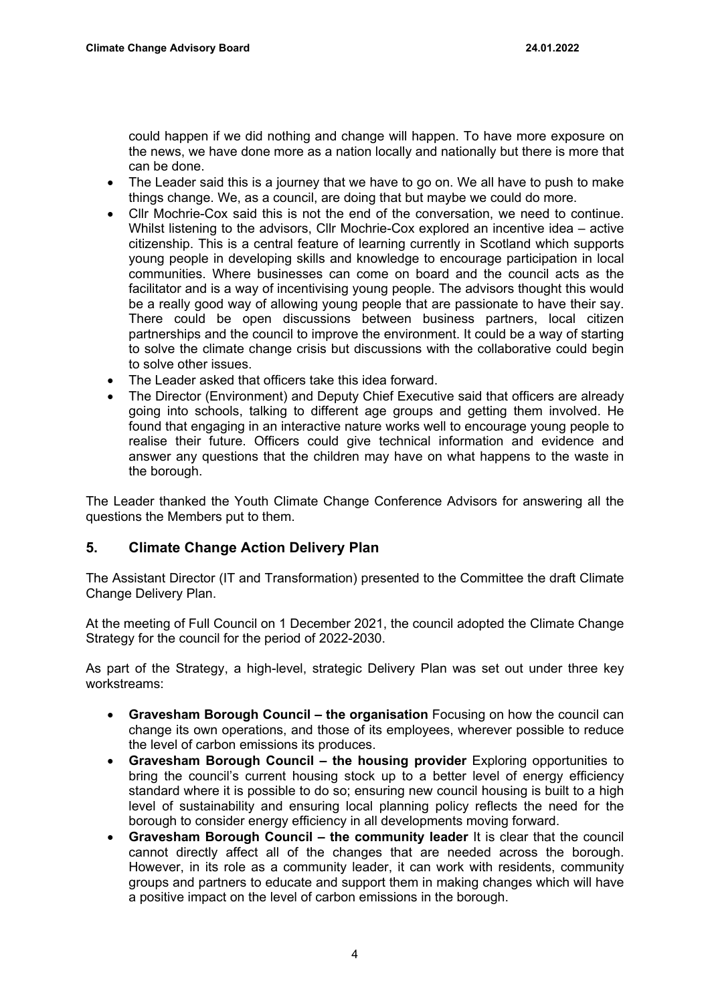could happen if we did nothing and change will happen. To have more exposure on the news, we have done more as a nation locally and nationally but there is more that can be done.

- The Leader said this is a journey that we have to go on. We all have to push to make things change. We, as a council, are doing that but maybe we could do more.
- Cllr Mochrie-Cox said this is not the end of the conversation, we need to continue. Whilst listening to the advisors, Cllr Mochrie-Cox explored an incentive idea – active citizenship. This is a central feature of learning currently in Scotland which supports young people in developing skills and knowledge to encourage participation in local communities. Where businesses can come on board and the council acts as the facilitator and is a way of incentivising young people. The advisors thought this would be a really good way of allowing young people that are passionate to have their say. There could be open discussions between business partners, local citizen partnerships and the council to improve the environment. It could be a way of starting to solve the climate change crisis but discussions with the collaborative could begin to solve other issues.
- The Leader asked that officers take this idea forward.
- The Director (Environment) and Deputy Chief Executive said that officers are already going into schools, talking to different age groups and getting them involved. He found that engaging in an interactive nature works well to encourage young people to realise their future. Officers could give technical information and evidence and answer any questions that the children may have on what happens to the waste in the borough.

The Leader thanked the Youth Climate Change Conference Advisors for answering all the questions the Members put to them.

# **5. Climate Change Action Delivery Plan**

The Assistant Director (IT and Transformation) presented to the Committee the draft Climate Change Delivery Plan.

At the meeting of Full Council on 1 December 2021, the council adopted the Climate Change Strategy for the council for the period of 2022-2030.

As part of the Strategy, a high-level, strategic Delivery Plan was set out under three key workstreams:

- **Gravesham Borough Council – the organisation** Focusing on how the council can change its own operations, and those of its employees, wherever possible to reduce the level of carbon emissions its produces.
- **Gravesham Borough Council – the housing provider** Exploring opportunities to bring the council's current housing stock up to a better level of energy efficiency standard where it is possible to do so; ensuring new council housing is built to a high level of sustainability and ensuring local planning policy reflects the need for the borough to consider energy efficiency in all developments moving forward.
- **Gravesham Borough Council – the community leader** It is clear that the council cannot directly affect all of the changes that are needed across the borough. However, in its role as a community leader, it can work with residents, community groups and partners to educate and support them in making changes which will have a positive impact on the level of carbon emissions in the borough.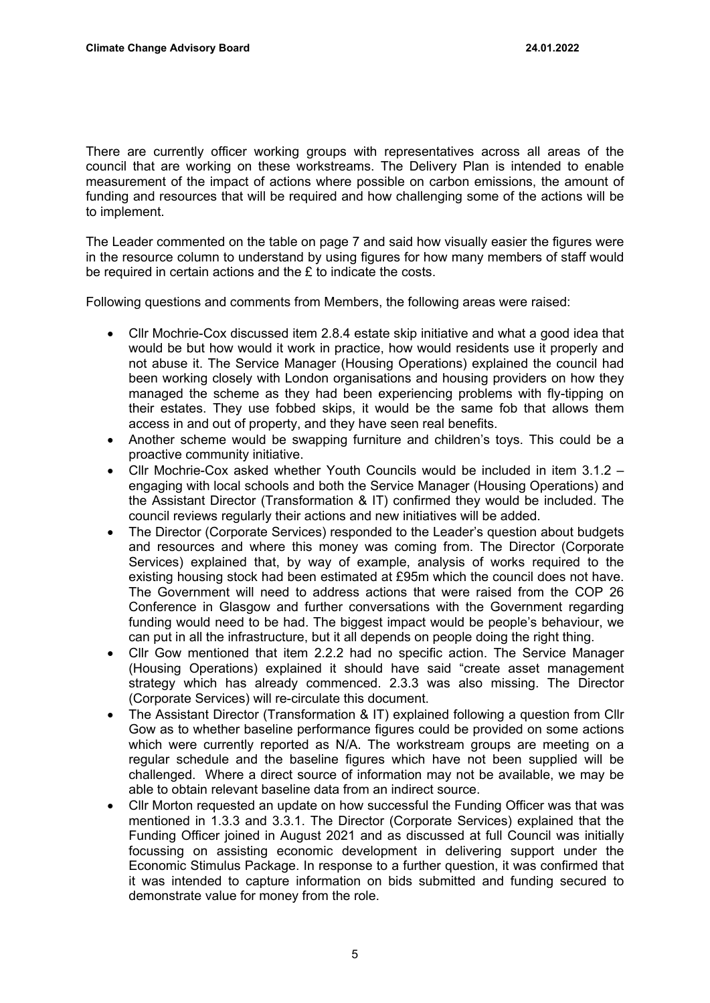There are currently officer working groups with representatives across all areas of the council that are working on these workstreams. The Delivery Plan is intended to enable measurement of the impact of actions where possible on carbon emissions, the amount of funding and resources that will be required and how challenging some of the actions will be to implement.

The Leader commented on the table on page 7 and said how visually easier the figures were in the resource column to understand by using figures for how many members of staff would be required in certain actions and the £ to indicate the costs.

Following questions and comments from Members, the following areas were raised:

- Cllr Mochrie-Cox discussed item 2.8.4 estate skip initiative and what a good idea that would be but how would it work in practice, how would residents use it properly and not abuse it. The Service Manager (Housing Operations) explained the council had been working closely with London organisations and housing providers on how they managed the scheme as they had been experiencing problems with fly-tipping on their estates. They use fobbed skips, it would be the same fob that allows them access in and out of property, and they have seen real benefits.
- Another scheme would be swapping furniture and children's toys. This could be a proactive community initiative.
- Cllr Mochrie-Cox asked whether Youth Councils would be included in item 3.1.2 engaging with local schools and both the Service Manager (Housing Operations) and the Assistant Director (Transformation & IT) confirmed they would be included. The council reviews regularly their actions and new initiatives will be added.
- The Director (Corporate Services) responded to the Leader's question about budgets and resources and where this money was coming from. The Director (Corporate Services) explained that, by way of example, analysis of works required to the existing housing stock had been estimated at £95m which the council does not have. The Government will need to address actions that were raised from the COP 26 Conference in Glasgow and further conversations with the Government regarding funding would need to be had. The biggest impact would be people's behaviour, we can put in all the infrastructure, but it all depends on people doing the right thing.
- Cllr Gow mentioned that item 2.2.2 had no specific action. The Service Manager (Housing Operations) explained it should have said "create asset management strategy which has already commenced. 2.3.3 was also missing. The Director (Corporate Services) will re-circulate this document.
- The Assistant Director (Transformation & IT) explained following a question from Cllr Gow as to whether baseline performance figures could be provided on some actions which were currently reported as N/A. The workstream groups are meeting on a regular schedule and the baseline figures which have not been supplied will be challenged. Where a direct source of information may not be available, we may be able to obtain relevant baseline data from an indirect source.
- Cllr Morton requested an update on how successful the Funding Officer was that was mentioned in 1.3.3 and 3.3.1. The Director (Corporate Services) explained that the Funding Officer joined in August 2021 and as discussed at full Council was initially focussing on assisting economic development in delivering support under the Economic Stimulus Package. In response to a further question, it was confirmed that it was intended to capture information on bids submitted and funding secured to demonstrate value for money from the role.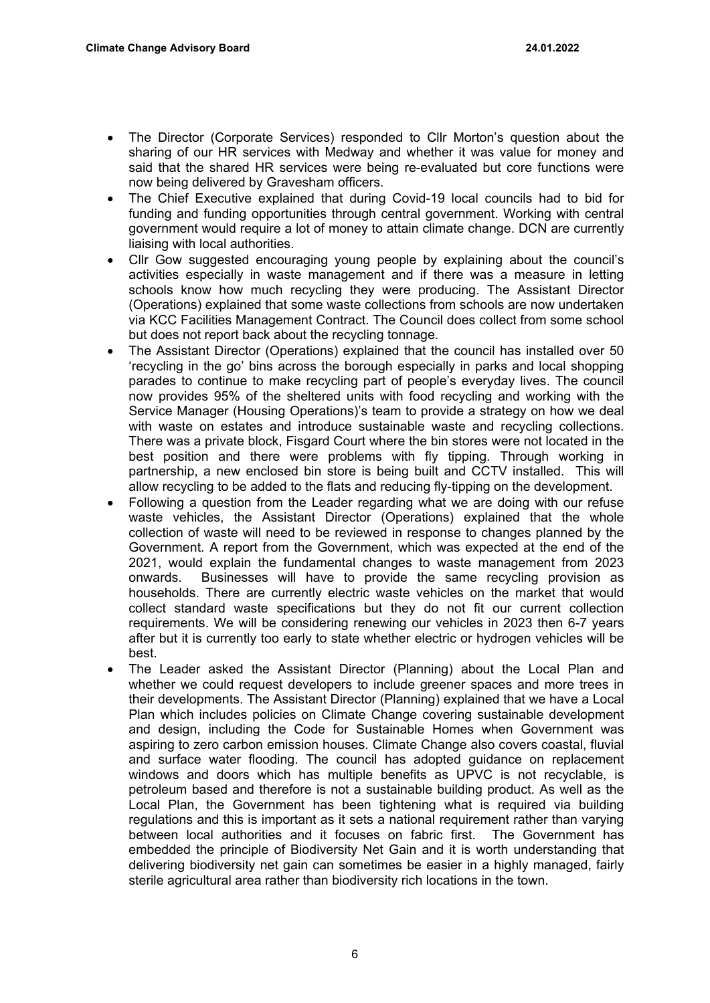- The Director (Corporate Services) responded to Cllr Morton's question about the sharing of our HR services with Medway and whether it was value for money and said that the shared HR services were being re-evaluated but core functions were now being delivered by Gravesham officers.
- The Chief Executive explained that during Covid-19 local councils had to bid for funding and funding opportunities through central government. Working with central government would require a lot of money to attain climate change. DCN are currently liaising with local authorities.
- Cllr Gow suggested encouraging young people by explaining about the council's activities especially in waste management and if there was a measure in letting schools know how much recycling they were producing. The Assistant Director (Operations) explained that some waste collections from schools are now undertaken via KCC Facilities Management Contract. The Council does collect from some school but does not report back about the recycling tonnage.
- The Assistant Director (Operations) explained that the council has installed over 50 'recycling in the go' bins across the borough especially in parks and local shopping parades to continue to make recycling part of people's everyday lives. The council now provides 95% of the sheltered units with food recycling and working with the Service Manager (Housing Operations)'s team to provide a strategy on how we deal with waste on estates and introduce sustainable waste and recycling collections. There was a private block, Fisgard Court where the bin stores were not located in the best position and there were problems with fly tipping. Through working in partnership, a new enclosed bin store is being built and CCTV installed. This will allow recycling to be added to the flats and reducing fly-tipping on the development.
- Following a question from the Leader regarding what we are doing with our refuse waste vehicles, the Assistant Director (Operations) explained that the whole collection of waste will need to be reviewed in response to changes planned by the Government. A report from the Government, which was expected at the end of the 2021, would explain the fundamental changes to waste management from 2023 onwards. Businesses will have to provide the same recycling provision as households. There are currently electric waste vehicles on the market that would collect standard waste specifications but they do not fit our current collection requirements. We will be considering renewing our vehicles in 2023 then 6-7 years after but it is currently too early to state whether electric or hydrogen vehicles will be best.
- The Leader asked the Assistant Director (Planning) about the Local Plan and whether we could request developers to include greener spaces and more trees in their developments. The Assistant Director (Planning) explained that we have a Local Plan which includes policies on Climate Change covering sustainable development and design, including the Code for Sustainable Homes when Government was aspiring to zero carbon emission houses. Climate Change also covers coastal, fluvial and surface water flooding. The council has adopted guidance on replacement windows and doors which has multiple benefits as UPVC is not recyclable, is petroleum based and therefore is not a sustainable building product. As well as the Local Plan, the Government has been tightening what is required via building regulations and this is important as it sets a national requirement rather than varying between local authorities and it focuses on fabric first. The Government has embedded the principle of Biodiversity Net Gain and it is worth understanding that delivering biodiversity net gain can sometimes be easier in a highly managed, fairly sterile agricultural area rather than biodiversity rich locations in the town.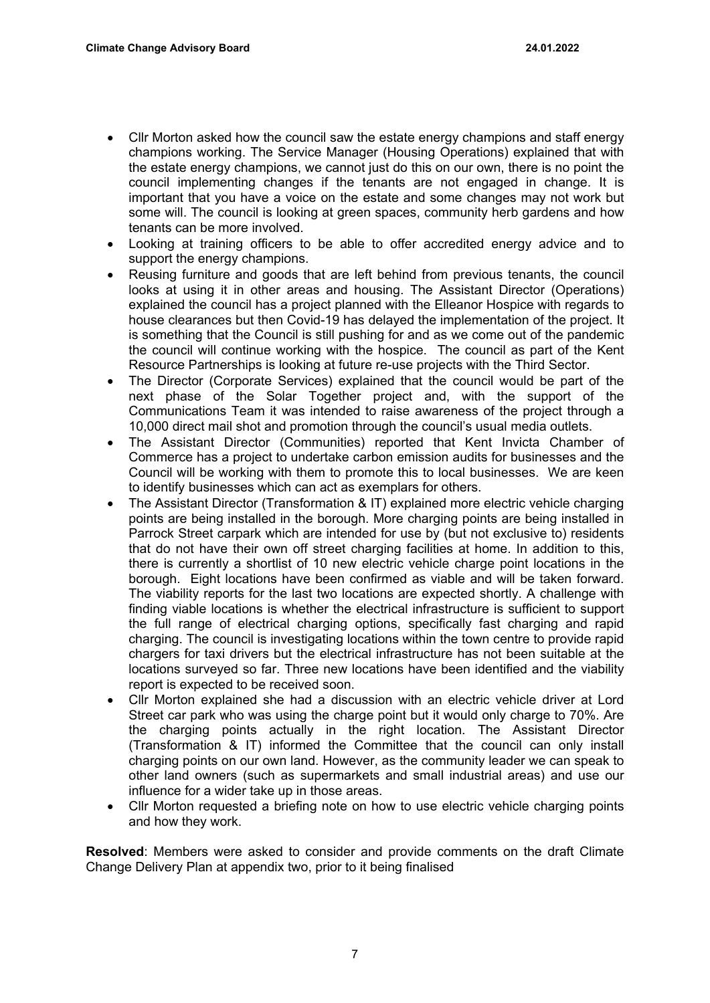- Cllr Morton asked how the council saw the estate energy champions and staff energy champions working. The Service Manager (Housing Operations) explained that with the estate energy champions, we cannot just do this on our own, there is no point the council implementing changes if the tenants are not engaged in change. It is important that you have a voice on the estate and some changes may not work but some will. The council is looking at green spaces, community herb gardens and how tenants can be more involved.
- Looking at training officers to be able to offer accredited energy advice and to support the energy champions.
- Reusing furniture and goods that are left behind from previous tenants, the council looks at using it in other areas and housing. The Assistant Director (Operations) explained the council has a project planned with the Elleanor Hospice with regards to house clearances but then Covid-19 has delayed the implementation of the project. It is something that the Council is still pushing for and as we come out of the pandemic the council will continue working with the hospice. The council as part of the Kent Resource Partnerships is looking at future re-use projects with the Third Sector.
- The Director (Corporate Services) explained that the council would be part of the next phase of the Solar Together project and, with the support of the Communications Team it was intended to raise awareness of the project through a 10,000 direct mail shot and promotion through the council's usual media outlets.
- The Assistant Director (Communities) reported that Kent Invicta Chamber of Commerce has a project to undertake carbon emission audits for businesses and the Council will be working with them to promote this to local businesses. We are keen to identify businesses which can act as exemplars for others.
- The Assistant Director (Transformation & IT) explained more electric vehicle charging points are being installed in the borough. More charging points are being installed in Parrock Street carpark which are intended for use by (but not exclusive to) residents that do not have their own off street charging facilities at home. In addition to this, there is currently a shortlist of 10 new electric vehicle charge point locations in the borough. Eight locations have been confirmed as viable and will be taken forward. The viability reports for the last two locations are expected shortly. A challenge with finding viable locations is whether the electrical infrastructure is sufficient to support the full range of electrical charging options, specifically fast charging and rapid charging. The council is investigating locations within the town centre to provide rapid chargers for taxi drivers but the electrical infrastructure has not been suitable at the locations surveyed so far. Three new locations have been identified and the viability report is expected to be received soon.
- Cllr Morton explained she had a discussion with an electric vehicle driver at Lord Street car park who was using the charge point but it would only charge to 70%. Are the charging points actually in the right location. The Assistant Director (Transformation & IT) informed the Committee that the council can only install charging points on our own land. However, as the community leader we can speak to other land owners (such as supermarkets and small industrial areas) and use our influence for a wider take up in those areas.
- Cllr Morton requested a briefing note on how to use electric vehicle charging points and how they work.

**Resolved**: Members were asked to consider and provide comments on the draft Climate Change Delivery Plan at appendix two, prior to it being finalised